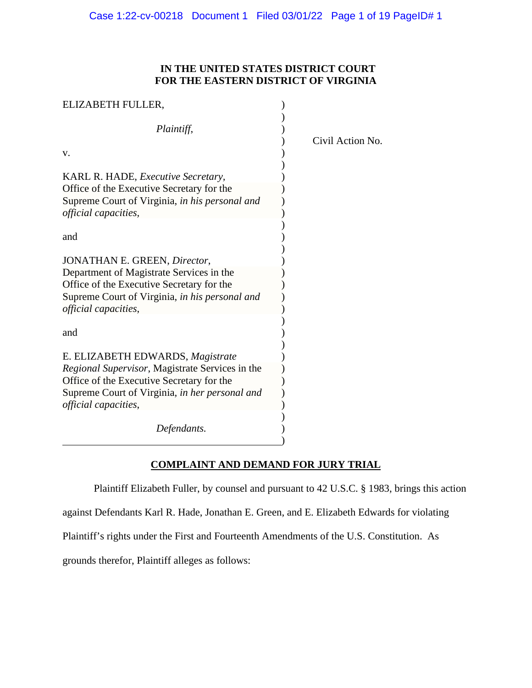## **IN THE UNITED STATES DISTRICT COURT FOR THE EASTERN DISTRICT OF VIRGINIA**

| ELIZABETH FULLER,                                                      |                  |
|------------------------------------------------------------------------|------------------|
| Plaintiff,                                                             | Civil Action No. |
| V.                                                                     |                  |
| KARL R. HADE, <i>Executive Secretary</i> ,                             |                  |
| Office of the Executive Secretary for the                              |                  |
| Supreme Court of Virginia, in his personal and<br>official capacities, |                  |
| and                                                                    |                  |
| JONATHAN E. GREEN, Director,                                           |                  |
| Department of Magistrate Services in the                               |                  |
| Office of the Executive Secretary for the                              |                  |
| Supreme Court of Virginia, in his personal and                         |                  |
| official capacities,                                                   |                  |
| and                                                                    |                  |
| E. ELIZABETH EDWARDS, Magistrate                                       |                  |
| Regional Supervisor, Magistrate Services in the                        |                  |
| Office of the Executive Secretary for the                              |                  |
| Supreme Court of Virginia, in her personal and<br>official capacities, |                  |
| Defendants.                                                            |                  |

# **COMPLAINT AND DEMAND FOR JURY TRIAL**

Plaintiff Elizabeth Fuller, by counsel and pursuant to 42 U.S.C. § 1983, brings this action

against Defendants Karl R. Hade, Jonathan E. Green, and E. Elizabeth Edwards for violating

Plaintiff's rights under the First and Fourteenth Amendments of the U.S. Constitution. As

grounds therefor, Plaintiff alleges as follows: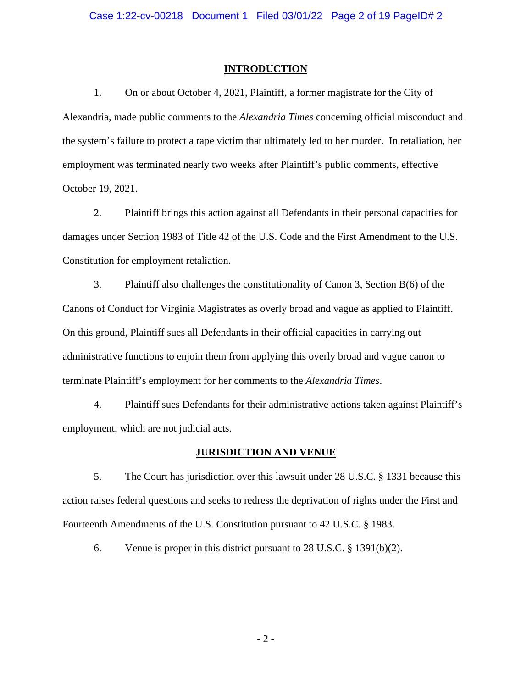### **INTRODUCTION**

1. On or about October 4, 2021, Plaintiff, a former magistrate for the City of Alexandria, made public comments to the *Alexandria Times* concerning official misconduct and the system's failure to protect a rape victim that ultimately led to her murder. In retaliation, her employment was terminated nearly two weeks after Plaintiff's public comments, effective October 19, 2021.

2. Plaintiff brings this action against all Defendants in their personal capacities for damages under Section 1983 of Title 42 of the U.S. Code and the First Amendment to the U.S. Constitution for employment retaliation.

3. Plaintiff also challenges the constitutionality of Canon 3, Section B(6) of the Canons of Conduct for Virginia Magistrates as overly broad and vague as applied to Plaintiff. On this ground, Plaintiff sues all Defendants in their official capacities in carrying out administrative functions to enjoin them from applying this overly broad and vague canon to terminate Plaintiff's employment for her comments to the *Alexandria Times*.

4. Plaintiff sues Defendants for their administrative actions taken against Plaintiff's employment, which are not judicial acts.

## **JURISDICTION AND VENUE**

5. The Court has jurisdiction over this lawsuit under 28 U.S.C. § 1331 because this action raises federal questions and seeks to redress the deprivation of rights under the First and Fourteenth Amendments of the U.S. Constitution pursuant to 42 U.S.C. § 1983.

6. Venue is proper in this district pursuant to 28 U.S.C. § 1391(b)(2).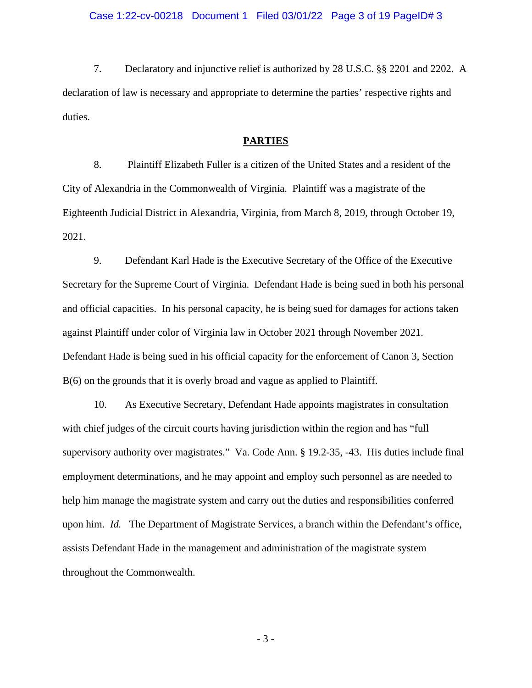### Case 1:22-cv-00218 Document 1 Filed 03/01/22 Page 3 of 19 PageID# 3

7. Declaratory and injunctive relief is authorized by 28 U.S.C. §§ 2201 and 2202. A declaration of law is necessary and appropriate to determine the parties' respective rights and duties.

#### **PARTIES**

8. Plaintiff Elizabeth Fuller is a citizen of the United States and a resident of the City of Alexandria in the Commonwealth of Virginia. Plaintiff was a magistrate of the Eighteenth Judicial District in Alexandria, Virginia, from March 8, 2019, through October 19, 2021.

9. Defendant Karl Hade is the Executive Secretary of the Office of the Executive Secretary for the Supreme Court of Virginia. Defendant Hade is being sued in both his personal and official capacities. In his personal capacity, he is being sued for damages for actions taken against Plaintiff under color of Virginia law in October 2021 through November 2021. Defendant Hade is being sued in his official capacity for the enforcement of Canon 3, Section B(6) on the grounds that it is overly broad and vague as applied to Plaintiff.

10. As Executive Secretary, Defendant Hade appoints magistrates in consultation with chief judges of the circuit courts having jurisdiction within the region and has "full supervisory authority over magistrates." Va. Code Ann. § 19.2-35, -43. His duties include final employment determinations, and he may appoint and employ such personnel as are needed to help him manage the magistrate system and carry out the duties and responsibilities conferred upon him. *Id.* The Department of Magistrate Services, a branch within the Defendant's office, assists Defendant Hade in the management and administration of the magistrate system throughout the Commonwealth.

- 3 -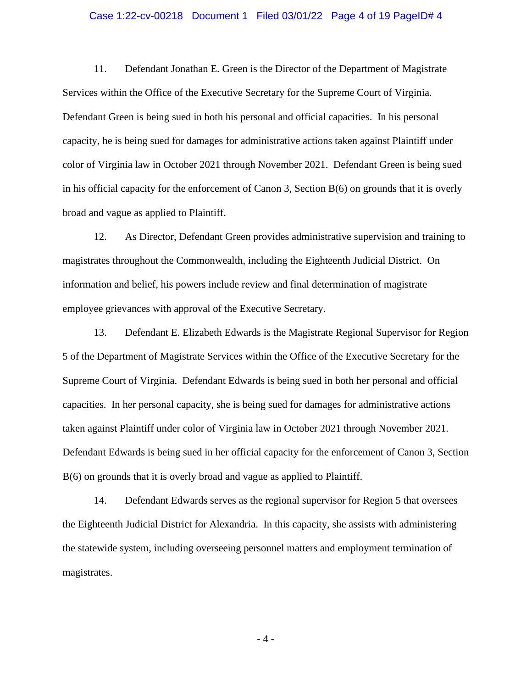#### Case 1:22-cv-00218 Document 1 Filed 03/01/22 Page 4 of 19 PageID# 4

11. Defendant Jonathan E. Green is the Director of the Department of Magistrate Services within the Office of the Executive Secretary for the Supreme Court of Virginia. Defendant Green is being sued in both his personal and official capacities. In his personal capacity, he is being sued for damages for administrative actions taken against Plaintiff under color of Virginia law in October 2021 through November 2021. Defendant Green is being sued in his official capacity for the enforcement of Canon 3, Section B(6) on grounds that it is overly broad and vague as applied to Plaintiff.

12. As Director, Defendant Green provides administrative supervision and training to magistrates throughout the Commonwealth, including the Eighteenth Judicial District. On information and belief, his powers include review and final determination of magistrate employee grievances with approval of the Executive Secretary.

13. Defendant E. Elizabeth Edwards is the Magistrate Regional Supervisor for Region 5 of the Department of Magistrate Services within the Office of the Executive Secretary for the Supreme Court of Virginia. Defendant Edwards is being sued in both her personal and official capacities. In her personal capacity, she is being sued for damages for administrative actions taken against Plaintiff under color of Virginia law in October 2021 through November 2021. Defendant Edwards is being sued in her official capacity for the enforcement of Canon 3, Section B(6) on grounds that it is overly broad and vague as applied to Plaintiff.

14. Defendant Edwards serves as the regional supervisor for Region 5 that oversees the Eighteenth Judicial District for Alexandria. In this capacity, she assists with administering the statewide system, including overseeing personnel matters and employment termination of magistrates.

- 4 -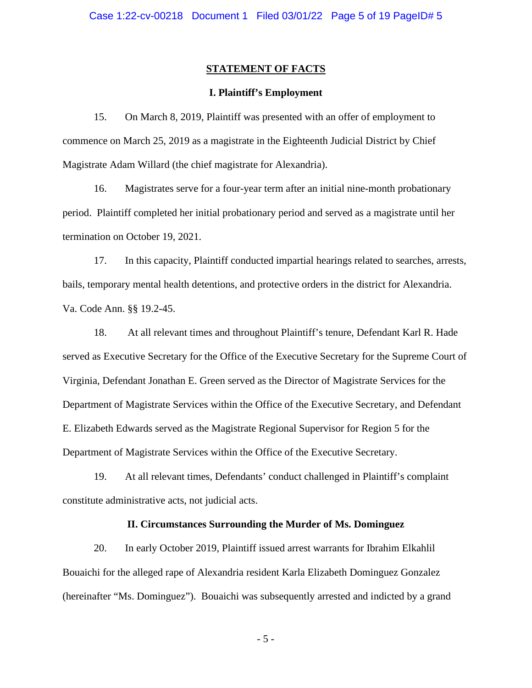## **STATEMENT OF FACTS**

## **I. Plaintiff's Employment**

15. On March 8, 2019, Plaintiff was presented with an offer of employment to commence on March 25, 2019 as a magistrate in the Eighteenth Judicial District by Chief Magistrate Adam Willard (the chief magistrate for Alexandria).

16. Magistrates serve for a four-year term after an initial nine-month probationary period. Plaintiff completed her initial probationary period and served as a magistrate until her termination on October 19, 2021.

17. In this capacity, Plaintiff conducted impartial hearings related to searches, arrests, bails, temporary mental health detentions, and protective orders in the district for Alexandria. Va. Code Ann. §§ 19.2-45.

18. At all relevant times and throughout Plaintiff's tenure, Defendant Karl R. Hade served as Executive Secretary for the Office of the Executive Secretary for the Supreme Court of Virginia, Defendant Jonathan E. Green served as the Director of Magistrate Services for the Department of Magistrate Services within the Office of the Executive Secretary, and Defendant E. Elizabeth Edwards served as the Magistrate Regional Supervisor for Region 5 for the Department of Magistrate Services within the Office of the Executive Secretary.

19. At all relevant times, Defendants' conduct challenged in Plaintiff's complaint constitute administrative acts, not judicial acts.

#### **II. Circumstances Surrounding the Murder of Ms. Dominguez**

20. In early October 2019, Plaintiff issued arrest warrants for Ibrahim Elkahlil Bouaichi for the alleged rape of Alexandria resident Karla Elizabeth Dominguez Gonzalez (hereinafter "Ms. Dominguez"). Bouaichi was subsequently arrested and indicted by a grand

- 5 -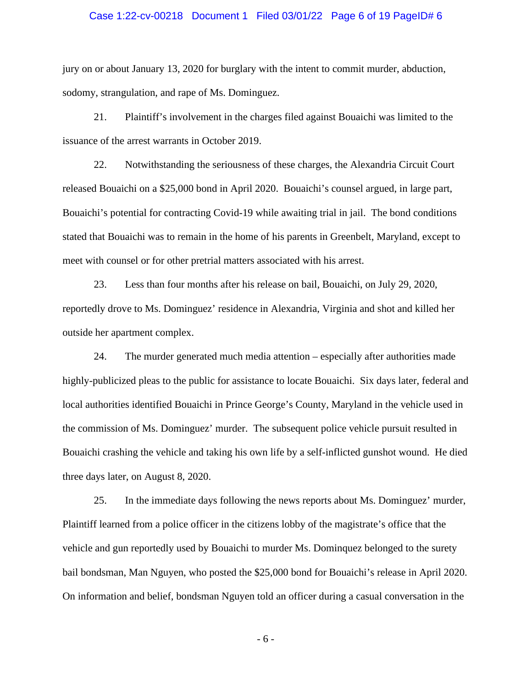#### Case 1:22-cv-00218 Document 1 Filed 03/01/22 Page 6 of 19 PageID# 6

jury on or about January 13, 2020 for burglary with the intent to commit murder, abduction, sodomy, strangulation, and rape of Ms. Dominguez.

21. Plaintiff's involvement in the charges filed against Bouaichi was limited to the issuance of the arrest warrants in October 2019.

22. Notwithstanding the seriousness of these charges, the Alexandria Circuit Court released Bouaichi on a \$25,000 bond in April 2020. Bouaichi's counsel argued, in large part, Bouaichi's potential for contracting Covid-19 while awaiting trial in jail. The bond conditions stated that Bouaichi was to remain in the home of his parents in Greenbelt, Maryland, except to meet with counsel or for other pretrial matters associated with his arrest.

23. Less than four months after his release on bail, Bouaichi, on July 29, 2020, reportedly drove to Ms. Dominguez' residence in Alexandria, Virginia and shot and killed her outside her apartment complex.

24. The murder generated much media attention – especially after authorities made highly-publicized pleas to the public for assistance to locate Bouaichi. Six days later, federal and local authorities identified Bouaichi in Prince George's County, Maryland in the vehicle used in the commission of Ms. Dominguez' murder. The subsequent police vehicle pursuit resulted in Bouaichi crashing the vehicle and taking his own life by a self-inflicted gunshot wound. He died three days later, on August 8, 2020.

25. In the immediate days following the news reports about Ms. Dominguez' murder, Plaintiff learned from a police officer in the citizens lobby of the magistrate's office that the vehicle and gun reportedly used by Bouaichi to murder Ms. Dominquez belonged to the surety bail bondsman, Man Nguyen, who posted the \$25,000 bond for Bouaichi's release in April 2020. On information and belief, bondsman Nguyen told an officer during a casual conversation in the

- 6 -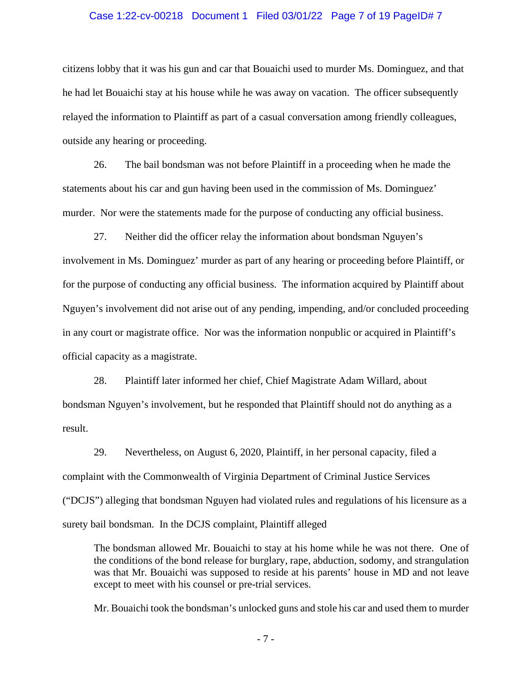#### Case 1:22-cv-00218 Document 1 Filed 03/01/22 Page 7 of 19 PageID# 7

citizens lobby that it was his gun and car that Bouaichi used to murder Ms. Dominguez, and that he had let Bouaichi stay at his house while he was away on vacation. The officer subsequently relayed the information to Plaintiff as part of a casual conversation among friendly colleagues, outside any hearing or proceeding.

26. The bail bondsman was not before Plaintiff in a proceeding when he made the statements about his car and gun having been used in the commission of Ms. Dominguez' murder. Nor were the statements made for the purpose of conducting any official business.

27. Neither did the officer relay the information about bondsman Nguyen's involvement in Ms. Dominguez' murder as part of any hearing or proceeding before Plaintiff, or for the purpose of conducting any official business. The information acquired by Plaintiff about Nguyen's involvement did not arise out of any pending, impending, and/or concluded proceeding in any court or magistrate office. Nor was the information nonpublic or acquired in Plaintiff's official capacity as a magistrate.

28. Plaintiff later informed her chief, Chief Magistrate Adam Willard, about bondsman Nguyen's involvement, but he responded that Plaintiff should not do anything as a result.

29. Nevertheless, on August 6, 2020, Plaintiff, in her personal capacity, filed a complaint with the Commonwealth of Virginia Department of Criminal Justice Services ("DCJS") alleging that bondsman Nguyen had violated rules and regulations of his licensure as a surety bail bondsman. In the DCJS complaint, Plaintiff alleged

The bondsman allowed Mr. Bouaichi to stay at his home while he was not there. One of the conditions of the bond release for burglary, rape, abduction, sodomy, and strangulation was that Mr. Bouaichi was supposed to reside at his parents' house in MD and not leave except to meet with his counsel or pre-trial services.

Mr. Bouaichi took the bondsman's unlocked guns and stole his car and used them to murder

- 7 -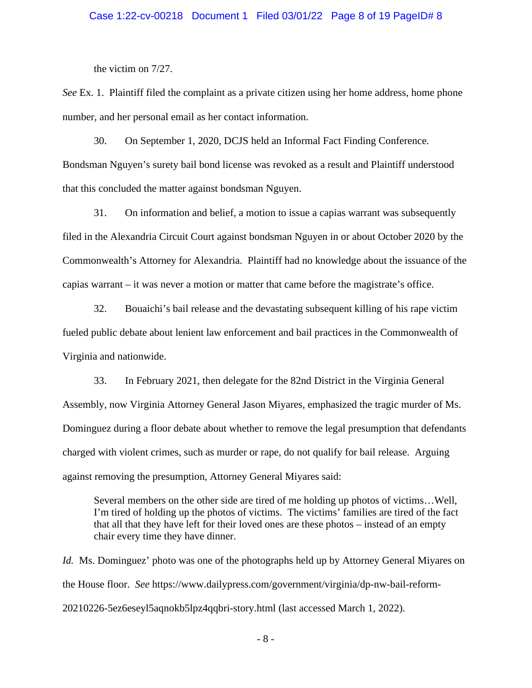#### Case 1:22-cv-00218 Document 1 Filed 03/01/22 Page 8 of 19 PageID# 8

the victim on 7/27.

*See* Ex. 1. Plaintiff filed the complaint as a private citizen using her home address, home phone number, and her personal email as her contact information.

30. On September 1, 2020, DCJS held an Informal Fact Finding Conference. Bondsman Nguyen's surety bail bond license was revoked as a result and Plaintiff understood that this concluded the matter against bondsman Nguyen.

31. On information and belief, a motion to issue a capias warrant was subsequently filed in the Alexandria Circuit Court against bondsman Nguyen in or about October 2020 by the Commonwealth's Attorney for Alexandria. Plaintiff had no knowledge about the issuance of the capias warrant – it was never a motion or matter that came before the magistrate's office.

32. Bouaichi's bail release and the devastating subsequent killing of his rape victim fueled public debate about lenient law enforcement and bail practices in the Commonwealth of Virginia and nationwide.

33. In February 2021, then delegate for the 82nd District in the Virginia General Assembly, now Virginia Attorney General Jason Miyares, emphasized the tragic murder of Ms. Dominguez during a floor debate about whether to remove the legal presumption that defendants charged with violent crimes, such as murder or rape, do not qualify for bail release. Arguing against removing the presumption, Attorney General Miyares said:

Several members on the other side are tired of me holding up photos of victims…Well, I'm tired of holding up the photos of victims. The victims' families are tired of the fact that all that they have left for their loved ones are these photos – instead of an empty chair every time they have dinner.

*Id.* Ms. Dominguez' photo was one of the photographs held up by Attorney General Miyares on the House floor. *See* https://www.dailypress.com/government/virginia/dp-nw-bail-reform-20210226-5ez6eseyl5aqnokb5lpz4qqbri-story.html (last accessed March 1, 2022).

- 8 -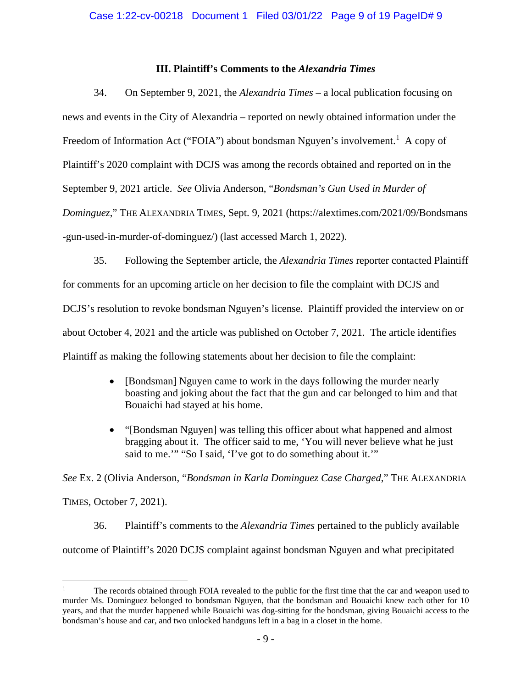## **III. Plaintiff's Comments to the** *Alexandria Times*

34. On September 9, 2021, the *Alexandria Times* – a local publication focusing on news and events in the City of Alexandria – reported on newly obtained information under the Freedom of Information Act ("FOIA") about bondsman Nguyen's involvement.<sup>1</sup> A copy of Plaintiff's 2020 complaint with DCJS was among the records obtained and reported on in the September 9, 2021 article. *See* Olivia Anderson, "*Bondsman's Gun Used in Murder of Dominguez*," THE ALEXANDRIA TIMES, Sept. 9, 2021 (https://alextimes.com/2021/09/Bondsmans -gun-used-in-murder-of-dominguez/) (last accessed March 1, 2022).

35. Following the September article, the *Alexandria Times* reporter contacted Plaintiff for comments for an upcoming article on her decision to file the complaint with DCJS and DCJS's resolution to revoke bondsman Nguyen's license. Plaintiff provided the interview on or about October 4, 2021 and the article was published on October 7, 2021. The article identifies Plaintiff as making the following statements about her decision to file the complaint:

- [Bondsman] Nguyen came to work in the days following the murder nearly boasting and joking about the fact that the gun and car belonged to him and that Bouaichi had stayed at his home.
- "[Bondsman Nguyen] was telling this officer about what happened and almost bragging about it. The officer said to me, 'You will never believe what he just said to me.'" "So I said, 'I've got to do something about it.'"

*See* Ex. 2 (Olivia Anderson, "*Bondsman in Karla Dominguez Case Charged*," THE ALEXANDRIA TIMES, October 7, 2021).

36. Plaintiff's comments to the *Alexandria Times* pertained to the publicly available outcome of Plaintiff's 2020 DCJS complaint against bondsman Nguyen and what precipitated

<sup>1</sup> The records obtained through FOIA revealed to the public for the first time that the car and weapon used to murder Ms. Dominguez belonged to bondsman Nguyen, that the bondsman and Bouaichi knew each other for 10 years, and that the murder happened while Bouaichi was dog-sitting for the bondsman, giving Bouaichi access to the bondsman's house and car, and two unlocked handguns left in a bag in a closet in the home.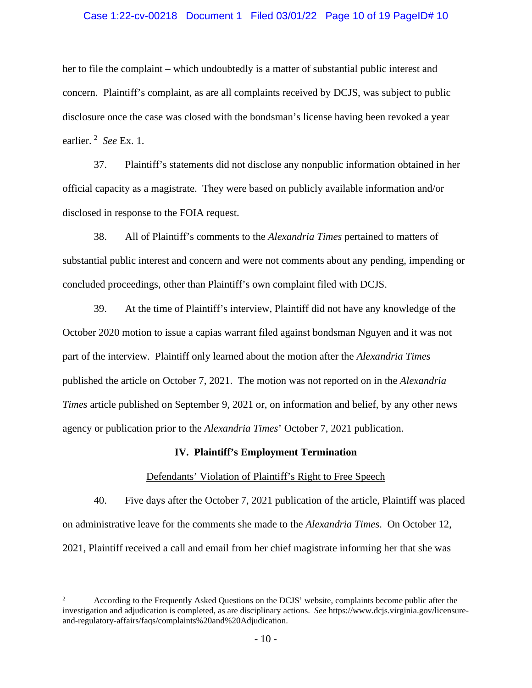#### Case 1:22-cv-00218 Document 1 Filed 03/01/22 Page 10 of 19 PageID# 10

her to file the complaint – which undoubtedly is a matter of substantial public interest and concern. Plaintiff's complaint, as are all complaints received by DCJS, was subject to public disclosure once the case was closed with the bondsman's license having been revoked a year earlier. <sup>2</sup> *See* Ex. 1.

37. Plaintiff's statements did not disclose any nonpublic information obtained in her official capacity as a magistrate. They were based on publicly available information and/or disclosed in response to the FOIA request.

38. All of Plaintiff's comments to the *Alexandria Times* pertained to matters of substantial public interest and concern and were not comments about any pending, impending or concluded proceedings, other than Plaintiff's own complaint filed with DCJS.

39. At the time of Plaintiff's interview, Plaintiff did not have any knowledge of the October 2020 motion to issue a capias warrant filed against bondsman Nguyen and it was not part of the interview. Plaintiff only learned about the motion after the *Alexandria Times*  published the article on October 7, 2021. The motion was not reported on in the *Alexandria Times* article published on September 9, 2021 or, on information and belief, by any other news agency or publication prior to the *Alexandria Times*' October 7, 2021 publication.

#### **IV. Plaintiff's Employment Termination**

### Defendants' Violation of Plaintiff's Right to Free Speech

40. Five days after the October 7, 2021 publication of the article, Plaintiff was placed on administrative leave for the comments she made to the *Alexandria Times*. On October 12, 2021, Plaintiff received a call and email from her chief magistrate informing her that she was

<sup>&</sup>lt;sup>2</sup> According to the Frequently Asked Questions on the DCJS' website, complaints become public after the investigation and adjudication is completed, as are disciplinary actions. *See* https://www.dcjs.virginia.gov/licensureand-regulatory-affairs/faqs/complaints%20and%20Adjudication.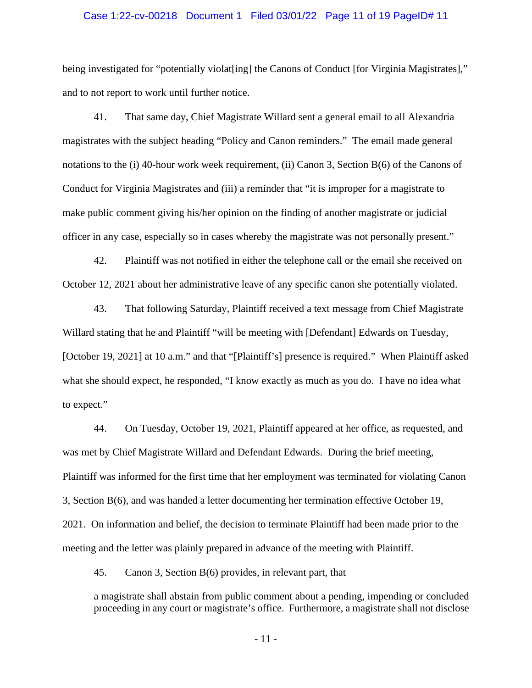#### Case 1:22-cv-00218 Document 1 Filed 03/01/22 Page 11 of 19 PageID# 11

being investigated for "potentially violat [ing] the Canons of Conduct [for Virginia Magistrates]," and to not report to work until further notice.

41. That same day, Chief Magistrate Willard sent a general email to all Alexandria magistrates with the subject heading "Policy and Canon reminders." The email made general notations to the (i) 40-hour work week requirement, (ii) Canon 3, Section B(6) of the Canons of Conduct for Virginia Magistrates and (iii) a reminder that "it is improper for a magistrate to make public comment giving his/her opinion on the finding of another magistrate or judicial officer in any case, especially so in cases whereby the magistrate was not personally present."

42. Plaintiff was not notified in either the telephone call or the email she received on October 12, 2021 about her administrative leave of any specific canon she potentially violated.

43. That following Saturday, Plaintiff received a text message from Chief Magistrate Willard stating that he and Plaintiff "will be meeting with [Defendant] Edwards on Tuesday, [October 19, 2021] at 10 a.m." and that "[Plaintiff's] presence is required." When Plaintiff asked what she should expect, he responded, "I know exactly as much as you do. I have no idea what to expect."

44. On Tuesday, October 19, 2021, Plaintiff appeared at her office, as requested, and was met by Chief Magistrate Willard and Defendant Edwards. During the brief meeting, Plaintiff was informed for the first time that her employment was terminated for violating Canon 3, Section B(6), and was handed a letter documenting her termination effective October 19, 2021. On information and belief, the decision to terminate Plaintiff had been made prior to the meeting and the letter was plainly prepared in advance of the meeting with Plaintiff.

45. Canon 3, Section B(6) provides, in relevant part, that

a magistrate shall abstain from public comment about a pending, impending or concluded proceeding in any court or magistrate's office. Furthermore, a magistrate shall not disclose

- 11 -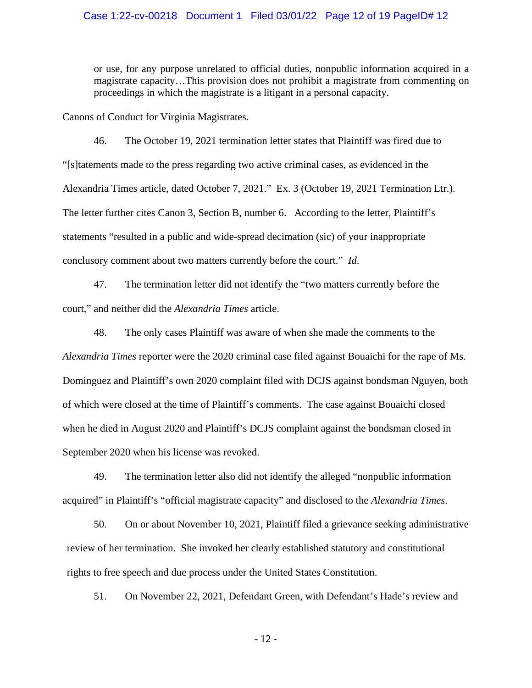### Case 1:22-cv-00218 Document 1 Filed 03/01/22 Page 12 of 19 PageID# 12

or use, for any purpose unrelated to official duties, nonpublic information acquired in a magistrate capacity…This provision does not prohibit a magistrate from commenting on proceedings in which the magistrate is a litigant in a personal capacity.

Canons of Conduct for Virginia Magistrates.

46. The October 19, 2021 termination letter states that Plaintiff was fired due to "[s]tatements made to the press regarding two active criminal cases, as evidenced in the Alexandria Times article, dated October 7, 2021." Ex. 3 (October 19, 2021 Termination Ltr.). The letter further cites Canon 3, Section B, number 6. According to the letter, Plaintiff's statements "resulted in a public and wide-spread decimation (sic) of your inappropriate conclusory comment about two matters currently before the court." *Id*.

47. The termination letter did not identify the "two matters currently before the court," and neither did the *Alexandria Times* article.

48. The only cases Plaintiff was aware of when she made the comments to the *Alexandria Times* reporter were the 2020 criminal case filed against Bouaichi for the rape of Ms. Dominguez and Plaintiff's own 2020 complaint filed with DCJS against bondsman Nguyen, both of which were closed at the time of Plaintiff's comments. The case against Bouaichi closed when he died in August 2020 and Plaintiff's DCJS complaint against the bondsman closed in September 2020 when his license was revoked.

49. The termination letter also did not identify the alleged "nonpublic information acquired" in Plaintiff's "official magistrate capacity" and disclosed to the *Alexandria Times*.

50. On or about November 10, 2021, Plaintiff filed a grievance seeking administrative review of her termination. She invoked her clearly established statutory and constitutional rights to free speech and due process under the United States Constitution.

51. On November 22, 2021, Defendant Green, with Defendant's Hade's review and

- 12 -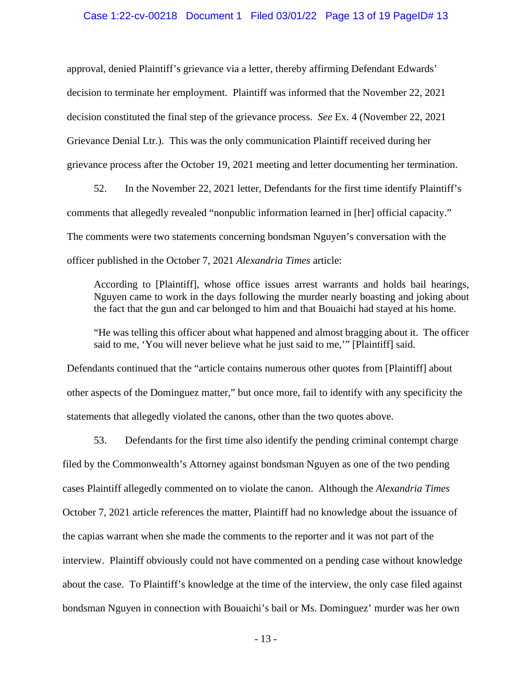#### Case 1:22-cv-00218 Document 1 Filed 03/01/22 Page 13 of 19 PageID# 13

approval, denied Plaintiff's grievance via a letter, thereby affirming Defendant Edwards' decision to terminate her employment. Plaintiff was informed that the November 22, 2021 decision constituted the final step of the grievance process. *See* Ex. 4 (November 22, 2021 Grievance Denial Ltr.). This was the only communication Plaintiff received during her grievance process after the October 19, 2021 meeting and letter documenting her termination.

52. In the November 22, 2021 letter, Defendants for the first time identify Plaintiff's comments that allegedly revealed "nonpublic information learned in [her] official capacity." The comments were two statements concerning bondsman Nguyen's conversation with the officer published in the October 7, 2021 *Alexandria Times* article:

According to [Plaintiff], whose office issues arrest warrants and holds bail hearings, Nguyen came to work in the days following the murder nearly boasting and joking about the fact that the gun and car belonged to him and that Bouaichi had stayed at his home.

"He was telling this officer about what happened and almost bragging about it. The officer said to me, 'You will never believe what he just said to me,'" [Plaintiff] said.

Defendants continued that the "article contains numerous other quotes from [Plaintiff] about other aspects of the Dominguez matter," but once more, fail to identify with any specificity the statements that allegedly violated the canons, other than the two quotes above.

53. Defendants for the first time also identify the pending criminal contempt charge filed by the Commonwealth's Attorney against bondsman Nguyen as one of the two pending cases Plaintiff allegedly commented on to violate the canon. Although the *Alexandria Times*  October 7, 2021 article references the matter, Plaintiff had no knowledge about the issuance of the capias warrant when she made the comments to the reporter and it was not part of the interview. Plaintiff obviously could not have commented on a pending case without knowledge about the case. To Plaintiff's knowledge at the time of the interview, the only case filed against bondsman Nguyen in connection with Bouaichi's bail or Ms. Dominguez' murder was her own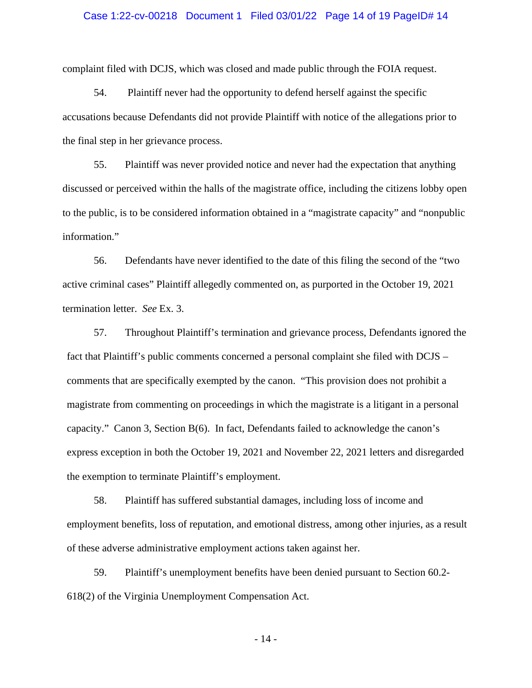#### Case 1:22-cv-00218 Document 1 Filed 03/01/22 Page 14 of 19 PageID# 14

complaint filed with DCJS, which was closed and made public through the FOIA request.

54. Plaintiff never had the opportunity to defend herself against the specific accusations because Defendants did not provide Plaintiff with notice of the allegations prior to the final step in her grievance process.

55. Plaintiff was never provided notice and never had the expectation that anything discussed or perceived within the halls of the magistrate office, including the citizens lobby open to the public, is to be considered information obtained in a "magistrate capacity" and "nonpublic information."

56. Defendants have never identified to the date of this filing the second of the "two active criminal cases" Plaintiff allegedly commented on, as purported in the October 19, 2021 termination letter. *See* Ex. 3.

57. Throughout Plaintiff's termination and grievance process, Defendants ignored the fact that Plaintiff's public comments concerned a personal complaint she filed with DCJS – comments that are specifically exempted by the canon. "This provision does not prohibit a magistrate from commenting on proceedings in which the magistrate is a litigant in a personal capacity." Canon 3, Section B(6). In fact, Defendants failed to acknowledge the canon's express exception in both the October 19, 2021 and November 22, 2021 letters and disregarded the exemption to terminate Plaintiff's employment.

58. Plaintiff has suffered substantial damages, including loss of income and employment benefits, loss of reputation, and emotional distress, among other injuries, as a result of these adverse administrative employment actions taken against her.

59. Plaintiff's unemployment benefits have been denied pursuant to Section 60.2- 618(2) of the Virginia Unemployment Compensation Act.

- 14 -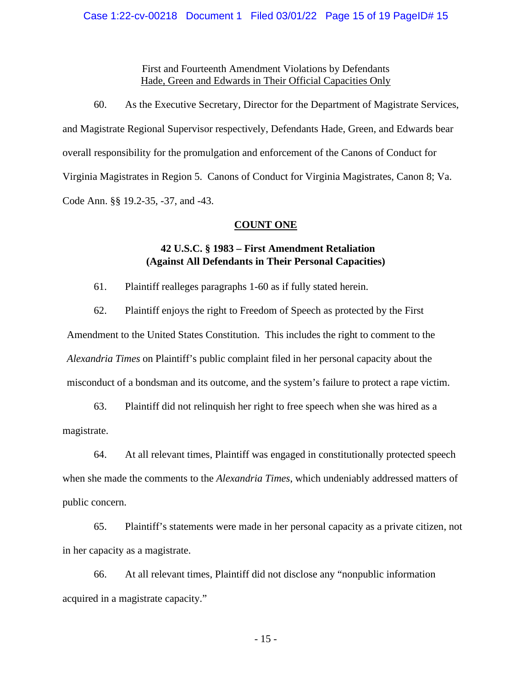First and Fourteenth Amendment Violations by Defendants Hade, Green and Edwards in Their Official Capacities Only

60. As the Executive Secretary, Director for the Department of Magistrate Services, and Magistrate Regional Supervisor respectively, Defendants Hade, Green, and Edwards bear overall responsibility for the promulgation and enforcement of the Canons of Conduct for Virginia Magistrates in Region 5. Canons of Conduct for Virginia Magistrates, Canon 8; Va. Code Ann. §§ 19.2-35, -37, and -43.

## **COUNT ONE**

## **42 U.S.C. § 1983 – First Amendment Retaliation (Against All Defendants in Their Personal Capacities)**

61. Plaintiff realleges paragraphs 1-60 as if fully stated herein.

62. Plaintiff enjoys the right to Freedom of Speech as protected by the First

Amendment to the United States Constitution. This includes the right to comment to the *Alexandria Times* on Plaintiff's public complaint filed in her personal capacity about the misconduct of a bondsman and its outcome, and the system's failure to protect a rape victim.

63. Plaintiff did not relinquish her right to free speech when she was hired as a magistrate.

64. At all relevant times, Plaintiff was engaged in constitutionally protected speech when she made the comments to the *Alexandria Times*, which undeniably addressed matters of public concern.

65. Plaintiff's statements were made in her personal capacity as a private citizen, not in her capacity as a magistrate.

66. At all relevant times, Plaintiff did not disclose any "nonpublic information acquired in a magistrate capacity."

- 15 -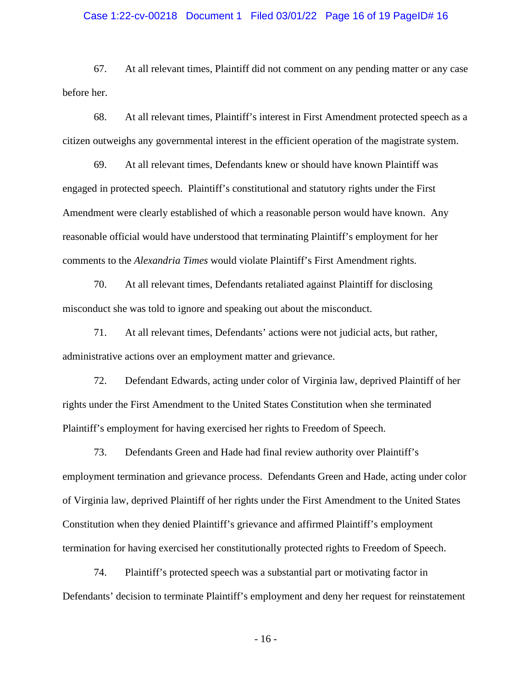#### Case 1:22-cv-00218 Document 1 Filed 03/01/22 Page 16 of 19 PageID# 16

67. At all relevant times, Plaintiff did not comment on any pending matter or any case before her.

68. At all relevant times, Plaintiff's interest in First Amendment protected speech as a citizen outweighs any governmental interest in the efficient operation of the magistrate system.

69. At all relevant times, Defendants knew or should have known Plaintiff was engaged in protected speech. Plaintiff's constitutional and statutory rights under the First Amendment were clearly established of which a reasonable person would have known. Any reasonable official would have understood that terminating Plaintiff's employment for her comments to the *Alexandria Times* would violate Plaintiff's First Amendment rights.

70. At all relevant times, Defendants retaliated against Plaintiff for disclosing misconduct she was told to ignore and speaking out about the misconduct.

71. At all relevant times, Defendants' actions were not judicial acts, but rather, administrative actions over an employment matter and grievance.

72. Defendant Edwards, acting under color of Virginia law, deprived Plaintiff of her rights under the First Amendment to the United States Constitution when she terminated Plaintiff's employment for having exercised her rights to Freedom of Speech.

73. Defendants Green and Hade had final review authority over Plaintiff's employment termination and grievance process. Defendants Green and Hade, acting under color of Virginia law, deprived Plaintiff of her rights under the First Amendment to the United States Constitution when they denied Plaintiff's grievance and affirmed Plaintiff's employment termination for having exercised her constitutionally protected rights to Freedom of Speech.

74. Plaintiff's protected speech was a substantial part or motivating factor in Defendants' decision to terminate Plaintiff's employment and deny her request for reinstatement

- 16 -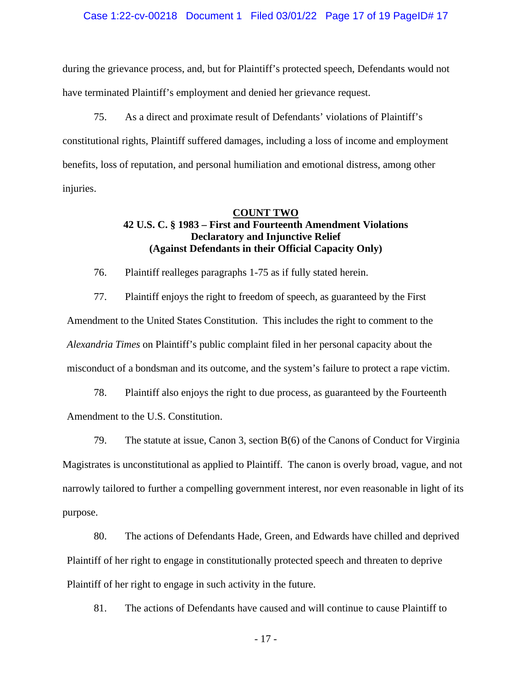#### Case 1:22-cv-00218 Document 1 Filed 03/01/22 Page 17 of 19 PageID# 17

during the grievance process, and, but for Plaintiff's protected speech, Defendants would not have terminated Plaintiff's employment and denied her grievance request.

75. As a direct and proximate result of Defendants' violations of Plaintiff's constitutional rights, Plaintiff suffered damages, including a loss of income and employment benefits, loss of reputation, and personal humiliation and emotional distress, among other injuries.

#### **COUNT TWO**

## **42 U.S. C. § 1983 – First and Fourteenth Amendment Violations Declaratory and Injunctive Relief (Against Defendants in their Official Capacity Only)**

76. Plaintiff realleges paragraphs 1-75 as if fully stated herein.

77. Plaintiff enjoys the right to freedom of speech, as guaranteed by the First Amendment to the United States Constitution. This includes the right to comment to the *Alexandria Times* on Plaintiff's public complaint filed in her personal capacity about the misconduct of a bondsman and its outcome, and the system's failure to protect a rape victim.

78. Plaintiff also enjoys the right to due process, as guaranteed by the Fourteenth Amendment to the U.S. Constitution.

79. The statute at issue, Canon 3, section B(6) of the Canons of Conduct for Virginia Magistrates is unconstitutional as applied to Plaintiff. The canon is overly broad, vague, and not narrowly tailored to further a compelling government interest, nor even reasonable in light of its purpose.

80. The actions of Defendants Hade, Green, and Edwards have chilled and deprived Plaintiff of her right to engage in constitutionally protected speech and threaten to deprive Plaintiff of her right to engage in such activity in the future.

81. The actions of Defendants have caused and will continue to cause Plaintiff to

- 17 -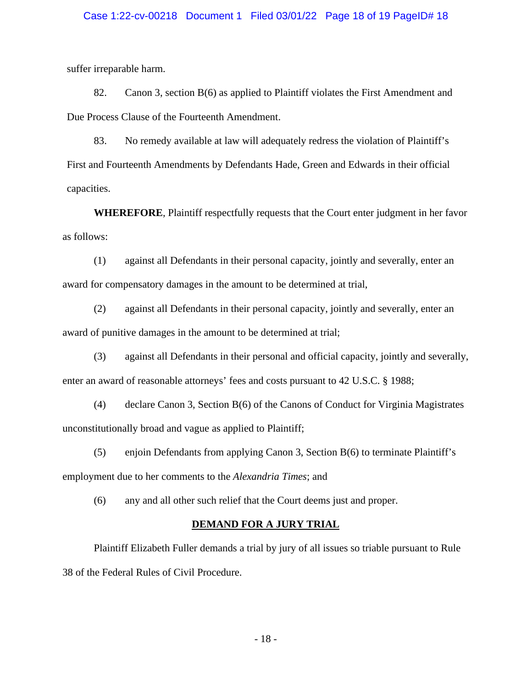#### Case 1:22-cv-00218 Document 1 Filed 03/01/22 Page 18 of 19 PageID# 18

suffer irreparable harm.

82. Canon 3, section B(6) as applied to Plaintiff violates the First Amendment and Due Process Clause of the Fourteenth Amendment.

83. No remedy available at law will adequately redress the violation of Plaintiff's First and Fourteenth Amendments by Defendants Hade, Green and Edwards in their official capacities.

**WHEREFORE**, Plaintiff respectfully requests that the Court enter judgment in her favor as follows:

(1) against all Defendants in their personal capacity, jointly and severally, enter an award for compensatory damages in the amount to be determined at trial,

(2) against all Defendants in their personal capacity, jointly and severally, enter an award of punitive damages in the amount to be determined at trial;

(3) against all Defendants in their personal and official capacity, jointly and severally, enter an award of reasonable attorneys' fees and costs pursuant to 42 U.S.C. § 1988;

(4) declare Canon 3, Section B(6) of the Canons of Conduct for Virginia Magistrates unconstitutionally broad and vague as applied to Plaintiff;

(5) enjoin Defendants from applying Canon 3, Section B(6) to terminate Plaintiff's employment due to her comments to the *Alexandria Times*; and

(6) any and all other such relief that the Court deems just and proper.

### **DEMAND FOR A JURY TRIAL**

Plaintiff Elizabeth Fuller demands a trial by jury of all issues so triable pursuant to Rule 38 of the Federal Rules of Civil Procedure.